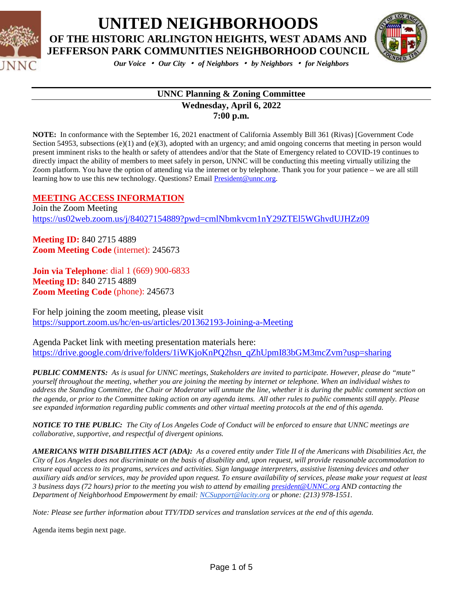



*Our Voice* • *Our City* • *of Neighbors* • *by Neighbors* • *for Neighbors*

#### **UNNC Planning & Zoning Committee Wednesday, April 6, 2022 7:00 p.m.**

**NOTE:** In conformance with the September 16, 2021 enactment of California Assembly Bill 361 (Rivas) [Government Code Section 54953, subsections (e)(1) and (e)(3), adopted with an urgency; and amid ongoing concerns that meeting in person would present imminent risks to the health or safety of attendees and/or that the State of Emergency related to COVID-19 continues to directly impact the ability of members to meet safely in person, UNNC will be conducting this meeting virtually utilizing the Zoom platform. You have the option of attending via the internet or by telephone. Thank you for your patience – we are all still learning how to use this new technology. Questions? Email [President@unnc.org.](mailto:President@unnc.org)

#### **MEETING ACCESS INFORMATION**

Join the Zoom Meeting <https://us02web.zoom.us/j/84027154889?pwd=cmlNbmkvcm1nY29ZTEl5WGhvdUJHZz09>

**Meeting ID:** 840 2715 4889 **Zoom Meeting Code** (internet): 245673

**Join via Telephone**: dial 1 (669) 900-6833 **Meeting ID:** 840 2715 4889 **Zoom Meeting Code** (phone): 245673

For help joining the zoom meeting, please visit <https://support.zoom.us/hc/en-us/articles/201362193-Joining-a-Meeting>

Agenda Packet link with meeting presentation materials here: [https://drive.google.com/drive/folders/1iWKjoKnPQ2hsn\\_qZhUpmI83bGM3mcZvm?usp=sharing](https://drive.google.com/drive/folders/1iWKjoKnPQ2hsn_qZhUpmI83bGM3mcZvm?usp=sharing)

*PUBLIC COMMENTS: As is usual for UNNC meetings, Stakeholders are invited to participate. However, please do "mute" yourself throughout the meeting, whether you are joining the meeting by internet or telephone. When an individual wishes to address the Standing Committee, the Chair or Moderator will unmute the line, whether it is during the public comment section on the agenda, or prior to the Committee taking action on any agenda items. All other rules to public comments still apply. Please see expanded information regarding public comments and other virtual meeting protocols at the end of this agenda.*

*NOTICE TO THE PUBLIC: The City of Los Angeles Code of Conduct will be enforced to ensure that UNNC meetings are collaborative, supportive, and respectful of divergent opinions.* 

*AMERICANS WITH DISABILITIES ACT (ADA): As a covered entity under Title II of the Americans with Disabilities Act, the City of Los Angeles does not discriminate on the basis of disability and, upon request, will provide reasonable accommodation to ensure equal access to its programs, services and activities. Sign language interpreters, assistive listening devices and other auxiliary aids and/or services, may be provided upon request. To ensure availability of services, please make your request at least 3 business days (72 hours) prior to the meeting you wish to attend by emailin[g president@UNNC.org](mailto:president@UNNC.org) AND contacting the Department of Neighborhood Empowerment by email: [NCSupport@lacity.org](mailto:NCSupport@lacity.org) or phone: (213) 978-1551.*

*Note: Please see further information about TTY/TDD services and translation services at the end of this agenda.*

Agenda items begin next page.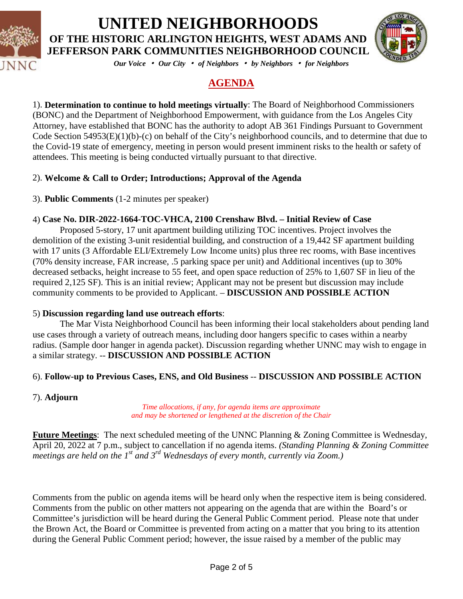



*Our Voice* • *Our City* • *of Neighbors* • *by Neighbors* • *for Neighbors*

### **AGENDA**

1). **Determination to continue to hold meetings virtually**: The Board of Neighborhood Commissioners (BONC) and the Department of Neighborhood Empowerment, with guidance from the Los Angeles City Attorney, have established that BONC has the authority to adopt AB 361 Findings Pursuant to Government Code Section 54953(E)(1)(b)-(c) on behalf of the City's neighborhood councils, and to determine that due to the Covid-19 state of emergency, meeting in person would present imminent risks to the health or safety of attendees. This meeting is being conducted virtually pursuant to that directive.

#### 2). **Welcome & Call to Order; Introductions; Approval of the Agenda**

3). **Public Comments** (1-2 minutes per speaker)

### 4) **Case No. DIR-2022-1664-TOC-VHCA, 2100 Crenshaw Blvd. – Initial Review of Case**

Proposed 5-story, 17 unit apartment building utilizing TOC incentives. Project involves the demolition of the existing 3-unit residential building, and construction of a 19,442 SF apartment building with 17 units (3 Affordable ELI/Extremely Low Income units) plus three rec rooms, with Base incentives (70% density increase, FAR increase, .5 parking space per unit) and Additional incentives (up to 30% decreased setbacks, height increase to 55 feet, and open space reduction of 25% to 1,607 SF in lieu of the required 2,125 SF). This is an initial review; Applicant may not be present but discussion may include community comments to be provided to Applicant. – **DISCUSSION AND POSSIBLE ACTION**

#### 5) **Discussion regarding land use outreach efforts**:

The Mar Vista Neighborhood Council has been informing their local stakeholders about pending land use cases through a variety of outreach means, including door hangers specific to cases within a nearby radius. (Sample door hanger in agenda packet). Discussion regarding whether UNNC may wish to engage in a similar strategy. -- **DISCUSSION AND POSSIBLE ACTION**

#### 6). **Follow-up to Previous Cases, ENS, and Old Business** -- **DISCUSSION AND POSSIBLE ACTION**

#### 7). **Adjourn**

*Time allocations, if any, for agenda items are approximate and may be shortened or lengthened at the discretion of the Chair*

**Future Meetings**: The next scheduled meeting of the UNNC Planning & Zoning Committee is Wednesday, April 20, 2022 at 7 p.m., subject to cancellation if no agenda items. *(Standing Planning & Zoning Committee meetings are held on the 1<sup>st</sup> and 3<sup>rd</sup> Wednesdays of every month, currently via Zoom.*)

Comments from the public on agenda items will be heard only when the respective item is being considered. Comments from the public on other matters not appearing on the agenda that are within the Board's or Committee's jurisdiction will be heard during the General Public Comment period. Please note that under the Brown Act, the Board or Committee is prevented from acting on a matter that you bring to its attention during the General Public Comment period; however, the issue raised by a member of the public may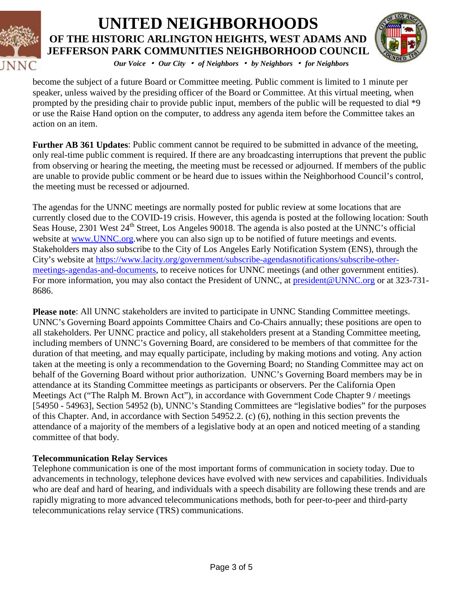



*Our Voice* • *Our City* • *of Neighbors* • *by Neighbors* • *for Neighbors*

become the subject of a future Board or Committee meeting. Public comment is limited to 1 minute per speaker, unless waived by the presiding officer of the Board or Committee. At this virtual meeting, when prompted by the presiding chair to provide public input, members of the public will be requested to dial \*9 or use the Raise Hand option on the computer, to address any agenda item before the Committee takes an action on an item.

**Further AB 361 Updates**: Public comment cannot be required to be submitted in advance of the meeting, only real-time public comment is required. If there are any broadcasting interruptions that prevent the public from observing or hearing the meeting, the meeting must be recessed or adjourned. If members of the public are unable to provide public comment or be heard due to issues within the Neighborhood Council's control, the meeting must be recessed or adjourned.

The agendas for the UNNC meetings are normally posted for public review at some locations that are currently closed due to the COVID-19 crisis. However, this agenda is posted at the following location: South Seas House, 2301 West 24<sup>th</sup> Street, Los Angeles 90018. The agenda is also posted at the UNNC's official website at [www.UNNC.org.](http://www.unnc.org/)where you can also sign up to be notified of future meetings and events. Stakeholders may also subscribe to the City of Los Angeles Early Notification System (ENS), through the City's website at [https://www.lacity.org/government/subscribe-agendasnotifications/subscribe-other](https://www.lacity.org/government/subscribe-agendasnotifications/subscribe-other-meetings-agendas-and-documents)[meetings-agendas-and-documents,](https://www.lacity.org/government/subscribe-agendasnotifications/subscribe-other-meetings-agendas-and-documents) to receive notices for UNNC meetings (and other government entities). For more information, you may also contact the President of UNNC, at [president@UNNC.org](mailto:president@UNNC.org) or at 323-731-8686.

**Please note**: All UNNC stakeholders are invited to participate in UNNC Standing Committee meetings. UNNC's Governing Board appoints Committee Chairs and Co-Chairs annually; these positions are open to all stakeholders. Per UNNC practice and policy, all stakeholders present at a Standing Committee meeting, including members of UNNC's Governing Board, are considered to be members of that committee for the duration of that meeting, and may equally participate, including by making motions and voting. Any action taken at the meeting is only a recommendation to the Governing Board; no Standing Committee may act on behalf of the Governing Board without prior authorization. UNNC's Governing Board members may be in attendance at its Standing Committee meetings as participants or observers. Per the California Open Meetings Act ("The Ralph M. Brown Act"), in accordance with Government Code Chapter 9 / meetings [54950 - 54963], Section 54952 (b), UNNC's Standing Committees are "legislative bodies" for the purposes of this Chapter. And, in accordance with Section 54952.2. (c) (6), nothing in this section prevents the attendance of a majority of the members of a legislative body at an open and noticed meeting of a standing committee of that body.

#### **Telecommunication Relay Services**

Telephone communication is one of the most important forms of communication in society today. Due to advancements in technology, telephone devices have evolved with new services and capabilities. Individuals who are deaf and hard of hearing, and individuals with a speech disability are following these trends and are rapidly migrating to more advanced telecommunications methods, both for peer-to-peer and third-party telecommunications relay service (TRS) communications.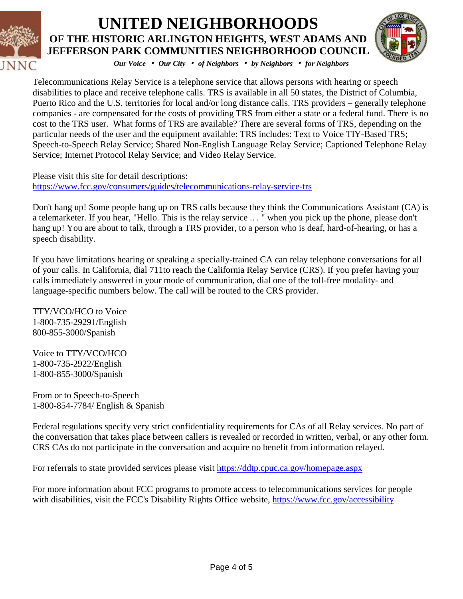



*Our Voice* • *Our City* • *of Neighbors* • *by Neighbors* • *for Neighbors*

Telecommunications Relay Service is a telephone service that allows persons with hearing or speech disabilities to place and receive telephone calls. TRS is available in all 50 states, the District of Columbia, Puerto Rico and the U.S. territories for local and/or long distance calls. TRS providers – generally telephone companies - are compensated for the costs of providing TRS from either a state or a federal fund. There is no cost to the TRS user. What forms of TRS are available? There are several forms of TRS, depending on the particular needs of the user and the equipment available: TRS includes: Text to Voice TIY-Based TRS; Speech-to-Speech Relay Service; Shared Non-English Language Relay Service; Captioned Telephone Relay Service; Internet Protocol Relay Service; and Video Relay Service.

Please visit this site for detail descriptions: <https://www.fcc.gov/consumers/guides/telecommunications-relay-service-trs>

Don't hang up! Some people hang up on TRS calls because they think the Communications Assistant (CA) is a telemarketer. If you hear, "Hello. This is the relay service .. . " when you pick up the phone, please don't hang up! You are about to talk, through a TRS provider, to a person who is deaf, hard-of-hearing, or has a speech disability.

If you have limitations hearing or speaking a specially-trained CA can relay telephone conversations for all of your calls. In California, dial 711to reach the California Relay Service (CRS). If you prefer having your calls immediately answered in your mode of communication, dial one of the toll-free modality- and language-specific numbers below. The call will be routed to the CRS provider.

TTY/VCO/HCO to Voice 1-800-735-29291/English 800-855-3000/Spanish

Voice to TTY/VCO/HCO 1-800-735-2922/English 1-800-855-3000/Spanish

From or to Speech-to-Speech 1-800-854-7784/ English & Spanish

Federal regulations specify very strict confidentiality requirements for CAs of all Relay services. No part of the conversation that takes place between callers is revealed or recorded in written, verbal, or any other form. CRS CAs do not participate in the conversation and acquire no benefit from information relayed.

For referrals to state provided services please visit<https://ddtp.cpuc.ca.gov/homepage.aspx>

For more information about FCC programs to promote access to telecommunications services for people with disabilities, visit the FCC's Disability Rights Office website,<https://www.fcc.gov/accessibility>